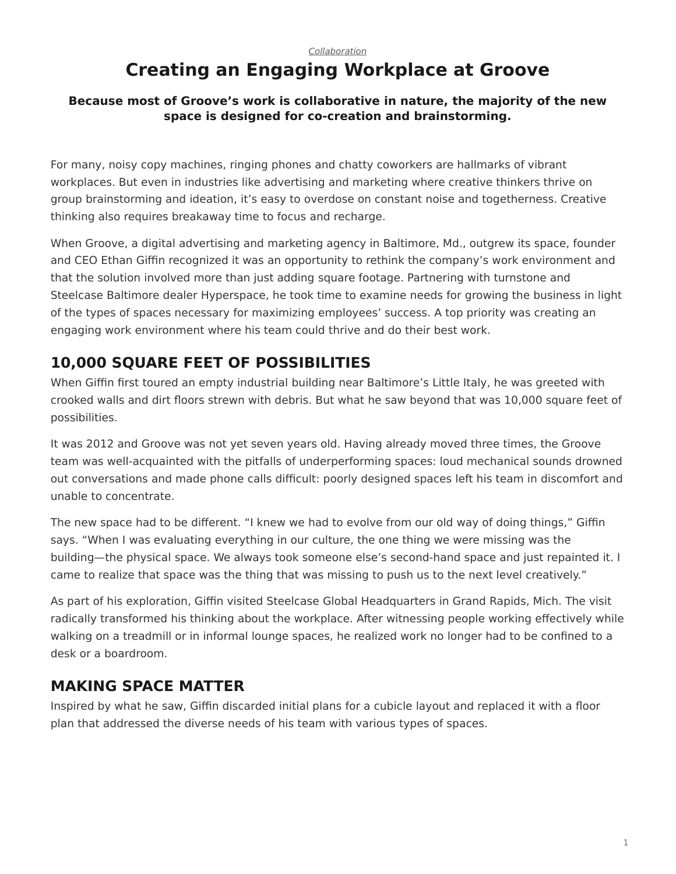#### *[Collaboration](https://www.steelcase.com/research/topics/collaboration/)*

# <span id="page-0-0"></span>**Creating an Engaging Workplace at Groove**

#### **Because most of Groove's work is collaborative in nature, the majority of the new space is designed for co-creation and brainstorming.**

For many, noisy copy machines, ringing phones and chatty coworkers are hallmarks of vibrant workplaces. But even in industries like advertising and marketing where creative thinkers thrive on group brainstorming and ideation, it's easy to overdose on constant noise and togetherness. Creative thinking also requires breakaway time to focus and recharge.

When Groove, a digital advertising and marketing agency in Baltimore, Md., outgrew its space, founder and CEO Ethan Giffin recognized it was an opportunity to rethink the company's work environment and that the solution involved more than just adding square footage. Partnering with turnstone and Steelcase Baltimore dealer Hyperspace, he took time to examine needs for growing the business in light of the types of spaces necessary for maximizing employees' success. A top priority was creating an engaging work environment where his team could thrive and do their best work.

# **10,000 SQUARE FEET OF POSSIBILITIES**

When Giffin first toured an empty industrial building near Baltimore's Little Italy, he was greeted with crooked walls and dirt floors strewn with debris. But what he saw beyond that was 10,000 square feet of possibilities.

It was 2012 and Groove was not yet seven years old. Having already moved three times, the Groove team was well-acquainted with the pitfalls of underperforming spaces: loud mechanical sounds drowned out conversations and made phone calls difficult: poorly designed spaces left his team in discomfort and unable to concentrate.

The new space had to be different. "I knew we had to evolve from our old way of doing things," Giffin says. "When I was evaluating everything in our culture, the one thing we were missing was the building—the physical space. We always took someone else's second-hand space and just repainted it. I came to realize that space was the thing that was missing to push us to the next level creatively."

As part of his exploration, Giffin visited Steelcase Global Headquarters in Grand Rapids, Mich. The visit radically transformed his thinking about the workplace. After witnessing people working effectively while walking on a treadmill or in informal lounge spaces, he realized work no longer had to be confined to a desk or a boardroom.

### **MAKING SPACE MATTER**

Inspired by what he saw, Giffin discarded initial plans for a cubicle layout and replaced it with a floor plan that addressed the diverse needs of his team with various types of spaces.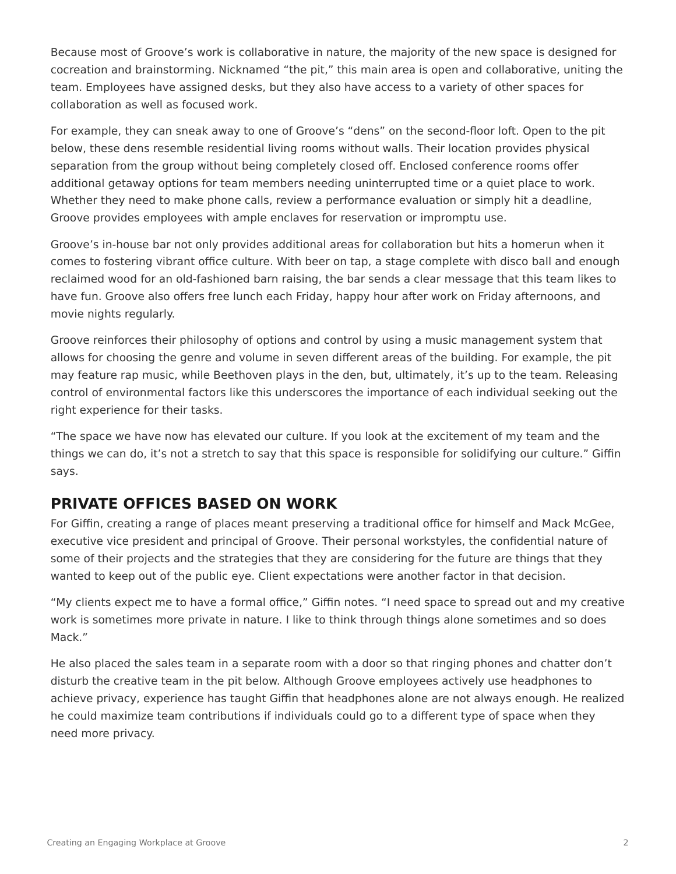Because most of Groove's work is collaborative in nature, the majority of the new space is designed for cocreation and brainstorming. Nicknamed "the pit," this main area is open and collaborative, uniting the team. Employees have assigned desks, but they also have access to a variety of other spaces for collaboration as well as focused work.

For example, they can sneak away to one of Groove's "dens" on the second-floor loft. Open to the pit below, these dens resemble residential living rooms without walls. Their location provides physical separation from the group without being completely closed off. Enclosed conference rooms offer additional getaway options for team members needing uninterrupted time or a quiet place to work. Whether they need to make phone calls, review a performance evaluation or simply hit a deadline, Groove provides employees with ample enclaves for reservation or impromptu use.

Groove's in-house bar not only provides additional areas for collaboration but hits a homerun when it comes to fostering vibrant office culture. With beer on tap, a stage complete with disco ball and enough reclaimed wood for an old-fashioned barn raising, the bar sends a clear message that this team likes to have fun. Groove also offers free lunch each Friday, happy hour after work on Friday afternoons, and movie nights regularly.

Groove reinforces their philosophy of options and control by using a music management system that allows for choosing the genre and volume in seven different areas of the building. For example, the pit may feature rap music, while Beethoven plays in the den, but, ultimately, it's up to the team. Releasing control of environmental factors like this underscores the importance of each individual seeking out the right experience for their tasks.

"The space we have now has elevated our culture. If you look at the excitement of my team and the things we can do, it's not a stretch to say that this space is responsible for solidifying our culture." Giffin says.

### **PRIVATE OFFICES BASED ON WORK**

For Giffin, creating a range of places meant preserving a traditional office for himself and Mack McGee, executive vice president and principal of Groove. Their personal workstyles, the confidential nature of some of their projects and the strategies that they are considering for the future are things that they wanted to keep out of the public eye. Client expectations were another factor in that decision.

"My clients expect me to have a formal office," Giffin notes. "I need space to spread out and my creative work is sometimes more private in nature. I like to think through things alone sometimes and so does Mack."

He also placed the sales team in a separate room with a door so that ringing phones and chatter don't disturb the creative team in the pit below. Although Groove employees actively use headphones to achieve privacy, experience has taught Giffin that headphones alone are not always enough. He realized he could maximize team contributions if individuals could go to a different type of space when they need more privacy.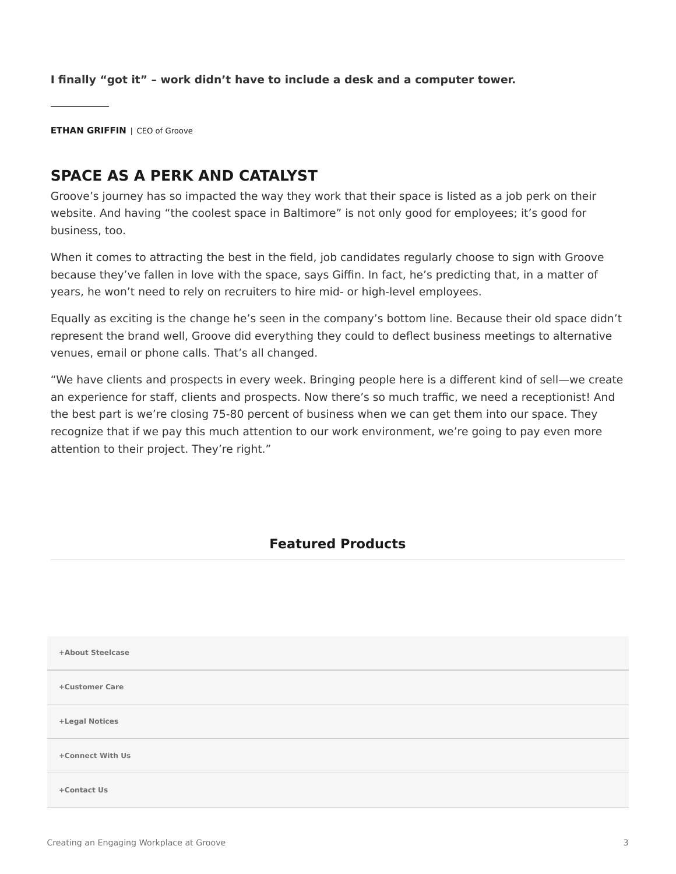**I finally "got it" – work didn't have to include a desk and a computer tower.**

**ETHAN GRIFFIN** | CEO of Groove

## **SPACE AS A PERK AND CATALYST**

Groove's journey has so impacted the way they work that their space is listed as a job perk on their website. And having "the coolest space in Baltimore" is not only good for employees; it's good for business, too.

When it comes to attracting the best in the field, job candidates regularly choose to sign with Groove because they've fallen in love with the space, says Giffin. In fact, he's predicting that, in a matter of years, he won't need to rely on recruiters to hire mid- or high-level employees.

Equally as exciting is the change he's seen in the company's bottom line. Because their old space didn't represent the brand well, Groove did everything they could to deflect business meetings to alternative venues, email or phone calls. That's all changed.

"We have clients and prospects in every week. Bringing people here is a different kind of sell—we create an experience for staff, clients and prospects. Now there's so much traffic, we need a receptionist! And the best part is we're closing 75-80 percent of business when we can get them into our space. They recognize that if we pay this much attention to our work environment, we're going to pay even more attention to their project. They're right."

#### **Featured Products**

| +About Steelcase |  |
|------------------|--|
| +Customer Care   |  |
| +Legal Notices   |  |
| +Connect With Us |  |
| +Contact Us      |  |